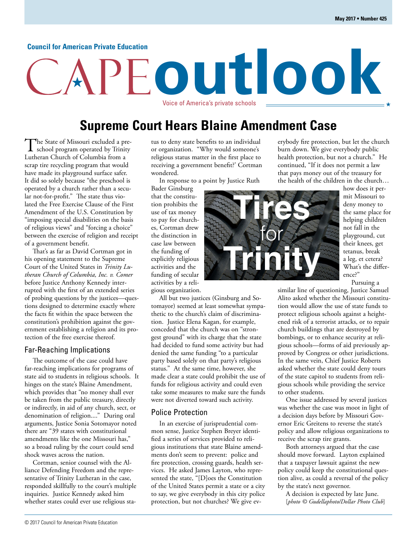#### **Council for American Private Education**

# **outlook** Voice of America's private schools

**Supreme Court Hears Blaine Amendment Case**

The State of Missouri excluded a pre-<br>school program operated by Trinity Lutheran Church of Columbia from a scrap tire recycling program that would have made its playground surface safer. It did so solely because "the preschool is operated by a church rather than a secular not-for-profit." The state thus violated the Free Exercise Clause of the First Amendment of the U.S. Constitution by "imposing special disabilities on the basis of religious views" and "forcing a choice" between the exercise of religion and receipt of a government benefit.

That's as far as David Cortman got in his opening statement to the Supreme Court of the United States in *Trinity Lutheran Church of Columbia, Inc. v. Comer* before Justice Anthony Kennedy interrupted with the first of an extended series of probing questions by the justices—questions designed to determine exactly where the facts fit within the space between the constitution's prohibition against the government establishing a religion and its protection of the free exercise thereof.

#### Far-Reaching Implications

The outcome of the case could have far-reaching implications for programs of state aid to students in religious schools. It hinges on the state's Blaine Amendment, which provides that "no money shall ever be taken from the public treasury, directly or indirectly, in aid of any church, sect, or denomination of religion...." During oral arguments, Justice Sonia Sotomayor noted there are "39 states with constitutional amendments like the one Missouri has," so a broad ruling by the court could send shock waves across the nation.

Cortman, senior counsel with the Alliance Defending Freedom and the representative of Trinity Lutheran in the case, responded skillfully to the court's multiple inquiries. Justice Kennedy asked him whether states could ever use religious status to deny state benefits to an individual or organization. "Why would someone's religious status matter in the first place to receiving a government benefit?' Cortman wondered.

In response to a point by Justice Ruth

Bader Ginsburg that the constitution prohibits the use of tax money to pay for churches, Cortman drew the distinction in case law between the funding of explicitly religious activities and the funding of secular activities by a religious organization.

All but two justices (Ginsburg and Sotomayor) seemed at least somewhat sympathetic to the church's claim of discrimination. Justice Elena Kagan, for example, conceded that the church was on "strongest ground" with its charge that the state had decided to fund some activity but had denied the same funding "to a particular party based solely on that party's religious status." At the same time, however, she made clear a state could prohibit the use of funds for religious activity and could even take some measures to make sure the funds were not diverted toward such activity.

#### Police Protection

In an exercise of jurisprudential common sense, Justice Stephen Breyer identified a series of services provided to religious institutions that state Blaine amendments don't seem to prevent: police and fire protection, crossing guards, health services. He asked James Layton, who represented the state, "[D]oes the Constitution of the United States permit a state or a city to say, we give everybody in this city police protection, but not churches? We give everybody fire protection, but let the church burn down. We give everybody public health protection, but not a church." He continued, "If it does not permit a law that pays money out of the treasury for the health of the children in the church…



how does it permit Missouri to deny money to the same place for helping children not fall in the playground, cut their knees, get tetanus, break a leg, et cetera? What's the difference?" Pursuing a

similar line of questioning, Justice Samuel Alito asked whether the Missouri constitution would allow the use of state funds to protect religious schools against a heightened risk of a terrorist attacks, or to repair church buildings that are destroyed by bombings, or to enhance security at religious schools—forms of aid previously approved by Congress or other jurisdictions. In the same vein, Chief Justice Roberts asked whether the state could deny tours of the state capitol to students from religious schools while providing the service to other students.

One issue addressed by several justices was whether the case was moot in light of a decision days before by Missouri Governor Eric Greitens to reverse the state's policy and allow religious organizations to receive the scrap tire grants.

Both attorneys argued that the case should move forward. Layton explained that a taxpayer lawsuit against the new policy could keep the constitutional question alive, as could a reversal of the policy by the state's next governor.

A decision is expected by late June. [*photo © Gudellaphoto/Dollar Photo Club*]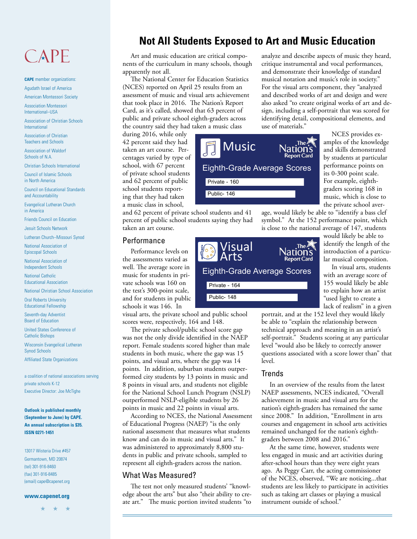## CAPE

**CAPE** member organizations: Agudath Israel of America

American Montessori Society

Association Montessori International–USA

Association of Christian Schools International

Association of Christian Teachers and Schools

Association of Waldorf Schools of N.A.

Christian Schools International

Council of Islamic Schools in North America

Council on Educational Standards and Accountability

Evangelical Lutheran Church in America

Friends Council on Education

Jesuit Schools Network

Lutheran Church–Missouri Synod

National Association of Episcopal Schools

National Association of Independent Schools

National Catholic Educational Association

National Christian School Association

Oral Roberts University Educational Fellowship

Seventh-day Adventist Board of Education

United States Conference of Catholic Bishops

Wisconsin Evangelical Lutheran Synod Schools

Affiliated State Organizations

a coalition of national associations serving private schools K-12 Executive Director: Joe McTighe

#### **Outlook is published monthly (September to June) by CAPE. An annual subscription is \$35. ISSN 0271-1451**

13017 Wisteria Drive #457 Germantown, MD 20874 (tel) 301-916-8460 (fax) 301-916-8485 (email) cape@capenet.org

#### **www.capenet.org**

 $\rightarrow$ 

## **Not All Students Exposed to Art and Music Education**

Art and music education are critical components of the curriculum in many schools, though apparently not all.

The National Center for Education Statistics (NCES) reported on April 25 results from an assessment of music and visual arts achievement that took place in 2016. The Nation's Report Card, as it's called, showed that 63 percent of public and private school eighth-graders across the country said they had taken a music class

during 2016, while only 42 percent said they had taken an art course. Percentages varied by type of school, with 67 percent of private school students and 62 percent of public school students reporting that they had taken a music class in school,

and 62 percent of private school students and 41 percent of public school students saying they had taken an art course.

Private - 160 Public- 146

**Music** 

#### Performance

Performance levels on the assessments varied as well. The average score in music for students in private schools was 160 on the test's 300-point scale, and for students in public schools it was 146. In

visual arts, the private school and public school scores were, respectively, 164 and 148.

The private school/public school score gap was not the only divide identified in the NAEP report. Female students scored higher than male students in both music, where the gap was 15 points, and visual arts, where the gap was 14 points. In addition, suburban students outperformed city students by 13 points in music and 8 points in visual arts, and students not eligible for the National School Lunch Program (NSLP) outperformed NSLP-eligible students by 26 points in music and 22 points in visual arts.

According to NCES, the National Assessment of Educational Progress (NAEP) "is the only national assessment that measures what students know and can do in music and visual arts." It was administered to approximately 8,800 students in public and private schools, sampled to represent all eighth-graders across the nation.

#### What Was Measured?

The test not only measured students' "knowledge about the arts" but also "their ability to create art." The music portion invited students "to analyze and describe aspects of music they heard, critique instrumental and vocal performances, and demonstrate their knowledge of standard musical notation and music's role in society." For the visual arts component, they "analyzed and described works of art and design and were also asked "to create original works of art and design, including a self-portrait that was scored for identifying detail, compositional elements, and use of materials."

> The  $\angle$ **Nation's**

NCES provides examples of the knowledge and skills demonstrated by students at particular performance points on its 0-300 point scale. For example, eighthgraders scoring 168 in music, which is close to the private school aver-

age, would likely be able to "identify a bass clef symbol." At the 152 performance point, which is close to the national average of 147, students

> would likely be able to identify the length of the introduction of a particular musical composition.

In visual arts, students with an average score of 155 would likely be able to explain how an artist "used light to create a lack of realism" in a given

portrait, and at the 152 level they would likely be able to "explain the relationship between technical approach and meaning in an artist's self-portrait." Students scoring at any particular level "would also be likely to correctly answer questions associated with a score lower than" that level.

#### Trends

In an overview of the results from the latest NAEP assessments, NCES indicated, "Overall achievement in music and visual arts for the nation's eighth-graders has remained the same since 2008." In addition, "Enrollment in arts courses and engagement in school arts activities remained unchanged for the nation's eighthgraders between 2008 and 2016."

At the same time, however, students were less engaged in music and art activities during after-school hours than they were eight years ago. As Peggy Carr, the acting commissioner of the NCES, observed, "We are noticing...that students are less likely to participate in activities such as taking art classes or playing a musical instrument outside of school."



Eighth-Grade Average Scores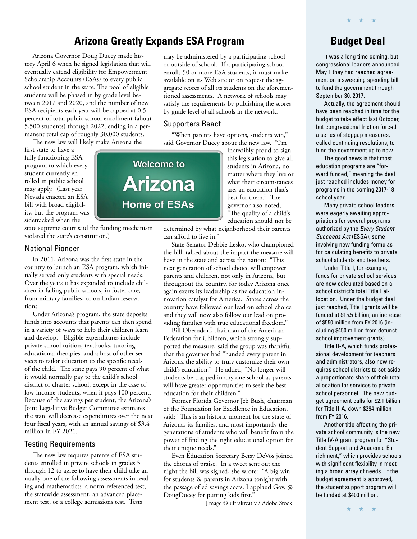## **Arizona Greatly Expands ESA Program**

Arizona Governor Doug Ducey made history April 6 when he signed legislation that will eventually extend eligibility for Empowerment Scholarship Accounts (ESAs) to every public school student in the state. The pool of eligible students will be phased in by grade level between 2017 and 2020, and the number of new ESA recipients each year will be capped at 0.5 percent of total public school enrollment (about 5,500 students) through 2022, ending in a permanent total cap of roughly 30,000 students.

The new law will likely make Arizona the

first state to have a fully functioning ESA program to which every student currently enrolled in public school may apply. (Last year Nevada enacted an ESA bill with broad eligibility, but the program was sidetracked when the

state supreme court said the funding mechanism violated the state's constitution.)

#### National Pioneer

In 2011, Arizona was the first state in the country to launch an ESA program, which initially served only students with special needs. Over the years it has expanded to include children in failing public schools, in foster care, from military families, or on Indian reservations.

Under Arizona's program, the state deposits funds into accounts that parents can then spend in a variety of ways to help their children learn and develop. Eligible expenditures include private school tuition, textbooks, tutoring, educational therapies, and a host of other services to tailor education to the specific needs of the child. The state pays 90 percent of what it would normally pay to the child's school district or charter school, except in the case of low-income students, when it pays 100 percent. Because of the savings per student, the Arizona's Joint Legislative Budget Committee estimates the state will decrease expenditures over the next four fiscal years, with an annual savings of \$3.4 million in FY 2021.

#### Testing Requirements

The new law requires parents of ESA students enrolled in private schools in grades 3 through 12 to agree to have their child take annually one of the following assessments in reading and mathematics: a norm-referenced test, the statewide assessment, an advanced placement test, or a college admissions test. Tests

may be administered by a participating school or outside of school. If a participating school enrolls 50 or more ESA students, it must make available on its Web site or on request the aggregate scores of all its students on the aforementioned assessments. A network of schools may satisfy the requirements by publishing the scores by grade level of all schools in the network.

#### Supporters React

"When parents have options, students win," said Governor Ducey about the new law. "I'm

> incredibly proud to sign this legislation to give all students in Arizona, no matter where they live or what their circumstances are, an education that's best for them." The governor also noted, "The quality of a child's education should not be

determined by what neighborhood their parents can afford to live in."

State Senator Debbie Lesko, who championed the bill, talked about the impact the measure will have in the state and across the nation: "This next generation of school choice will empower parents and children, not only in Arizona, but throughout the country, for today Arizona once again exerts its leadership as the education innovation catalyst for America. States across the country have followed our lead on school choice and they will now also follow our lead on providing families with true educational freedom."

Bill Oberndorf, chairman of the American Federation for Children, which strongly supported the measure, said the group was thankful that the governor had "handed every parent in Arizona the ability to truly customize their own child's education." He added, "No longer will students be trapped in any one school as parents will have greater opportunities to seek the best education for their children."

Former Florida Governor Jeb Bush, chairman of the Foundation for Excellence in Education, said: "This is an historic moment for the state of Arizona, its families, and most importantly the generations of students who will benefit from the power of finding the right educational option for their unique needs."

Even Education Secretary Betsy DeVos joined the chorus of praise. In a tweet sent out the night the bill was signed, she wrote: "A big win for students & parents in Arizona tonight with the passage of ed savings accts. I applaud Gov. @ DougDucey for putting kids first."

[image © ultrakreativ / Adobe Stock]

## **Budget Deal**

★ ★ ★

It was a long time coming, but congressional leaders announced May 1 they had reached agreement on a sweeping spending bill to fund the government through September 30, 2017.

Actually, the agreement should have been reached in time for the budget to take effect last October, but congressional friction forced a series of stopgap measures, called continuing resolutions, to fund the government up to now.

The good news is that most education programs are "forward funded," meaning the deal just reached includes money for programs in the coming 2017-18 school year.

Many private school leaders were eagerly awaiting appropriations for several programs authorized by the Every Student Succeeds Act (ESSA), some involving new funding formulas for calculating benefits to private school students and teachers.

Under Title I, for example, funds for private school services are now calculated based on a school district's total Title I allocation. Under the budget deal just reached, Title I grants will be funded at \$15.5 billion, an increase of \$550 million from FY 2016 (including \$450 million from defunct school improvement grants).

Title II-A, which funds professional development for teachers and administrators, also now requires school districts to set aside a proportionate share of their total allocation for services to private school personnel. The new budget agreement calls for \$2.1 billion for Title II-A, down \$294 million from FY 2016.

Another title affecting the private school community is the new Title IV-A grant program for "Student Support and Academic Enrichment," which provides schools with significant flexibility in meeting a broad array of needs. If the budget agreement is approved, the student support program will be funded at \$400 million.

**Welcome to Arizona Home of ESAs**